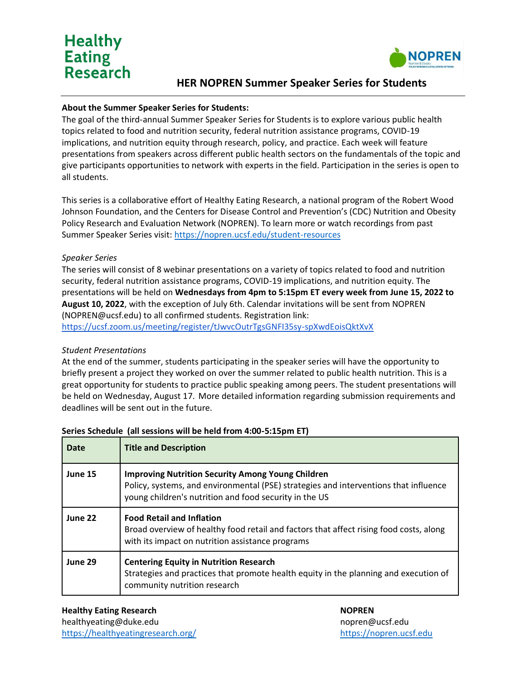## **Healthy Eating Research**



### **HER NOPREN Summer Speaker Series for Students**

#### **About the Summer Speaker Series for Students:**

The goal of the third-annual Summer Speaker Series for Students is to explore various public health topics related to food and nutrition security, federal nutrition assistance programs, COVID-19 implications, and nutrition equity through research, policy, and practice. Each week will feature presentations from speakers across different public health sectors on the fundamentals of the topic and give participants opportunities to network with experts in the field. Participation in the series is open to all students.

This series is a collaborative effort of Healthy Eating Research, a national program of the Robert Wood Johnson Foundation, and the Centers for Disease Control and Prevention's (CDC) Nutrition and Obesity Policy Research and Evaluation Network (NOPREN). To learn more or watch recordings from past Summer Speaker Series visit:<https://nopren.ucsf.edu/student-resources>

#### *Speaker Series*

The series will consist of 8 webinar presentations on a variety of topics related to food and nutrition security, federal nutrition assistance programs, COVID-19 implications, and nutrition equity. The presentations will be held on **Wednesdays from 4pm to 5:15pm ET every week from June 15, 2022 to August 10, 2022**, with the exception of July 6th. Calendar invitations will be sent from NOPREN (NOPREN@ucsf.edu) to all confirmed students. Registration link: <https://ucsf.zoom.us/meeting/register/tJwvcOutrTgsGNFI35sy-spXwdEoisQktXvX>

#### *Student Presentations*

At the end of the summer, students participating in the speaker series will have the opportunity to briefly present a project they worked on over the summer related to public health nutrition. This is a great opportunity for students to practice public speaking among peers. The student presentations will be held on Wednesday, August 17. More detailed information regarding submission requirements and deadlines will be sent out in the future.

| Date    | <b>Title and Description</b>                                                                                                                                                                               |
|---------|------------------------------------------------------------------------------------------------------------------------------------------------------------------------------------------------------------|
| June 15 | <b>Improving Nutrition Security Among Young Children</b><br>Policy, systems, and environmental (PSE) strategies and interventions that influence<br>young children's nutrition and food security in the US |
| June 22 | <b>Food Retail and Inflation</b><br>Broad overview of healthy food retail and factors that affect rising food costs, along<br>with its impact on nutrition assistance programs                             |
| June 29 | <b>Centering Equity in Nutrition Research</b><br>Strategies and practices that promote health equity in the planning and execution of<br>community nutrition research                                      |

#### **Series Schedule (all sessions will be held from 4:00-5:15pm ET)**

**Healthy Eating Research NOPREN** healthyeating@duke.edu nopren@ucsf.edu nopren@ucsf.edu <https://healthyeatingresearch.org/> [https://nopren.ucsf.edu](https://nopren.ucsf.edu/)